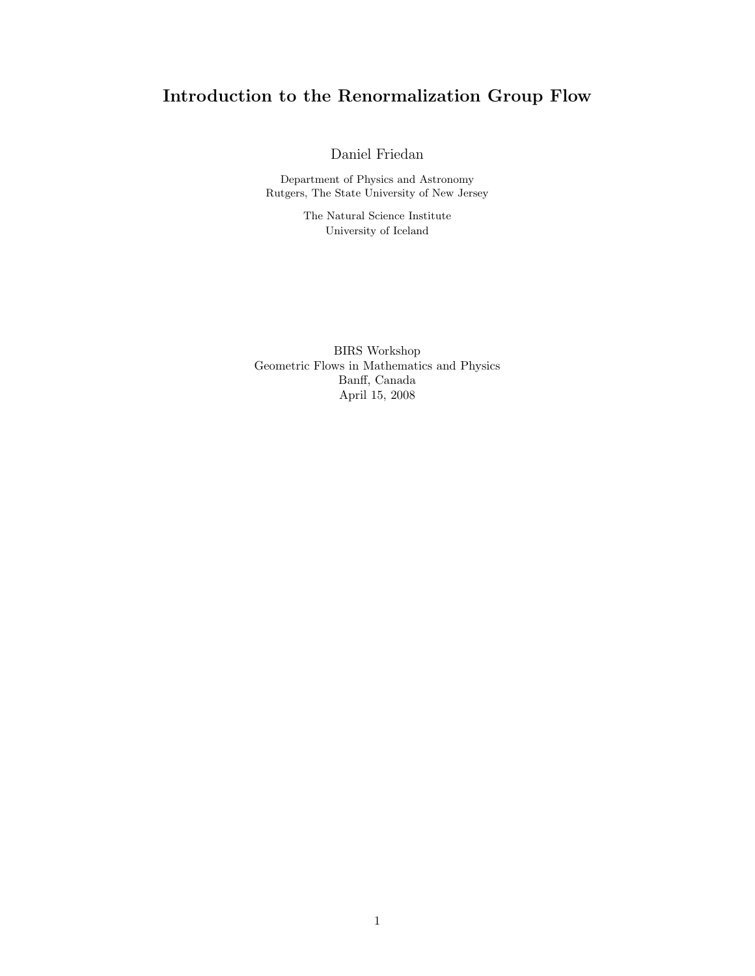# Introduction to the Renormalization Group Flow

Daniel Friedan

Department of Physics and Astronomy Rutgers, The State University of New Jersey

> The Natural Science Institute University of Iceland

BIRS Workshop Geometric Flows in Mathematics and Physics Banff, Canada April 15, 2008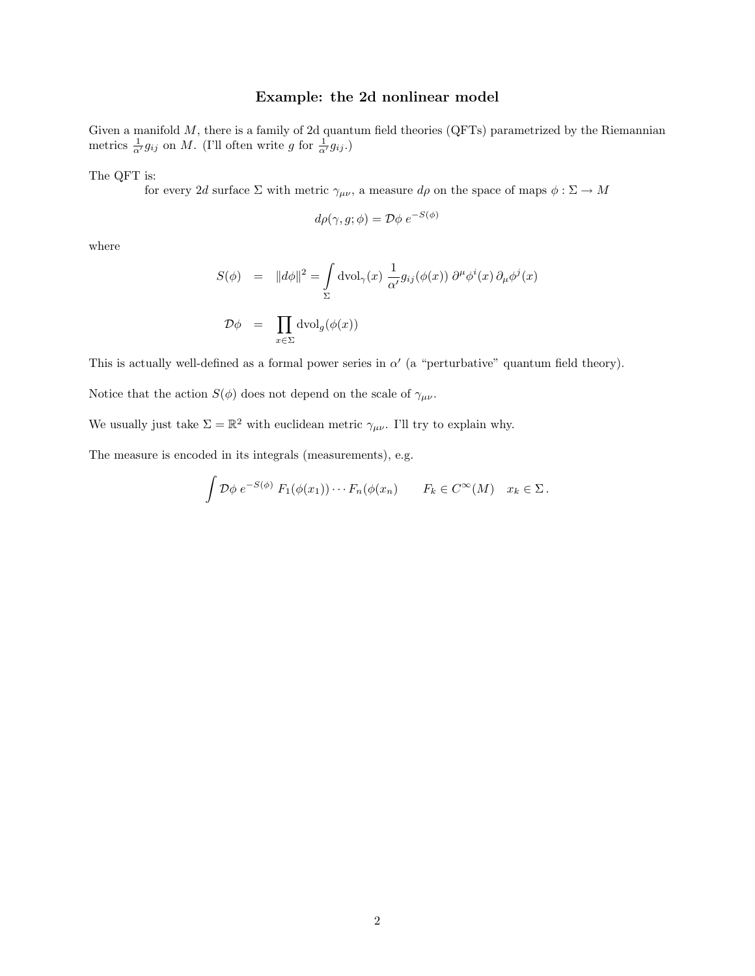### Example: the 2d nonlinear model

Given a manifold  $M$ , there is a family of 2d quantum field theories (QFTs) parametrized by the Riemannian metrics  $\frac{1}{\alpha'} g_{ij}$  on M. (I'll often write g for  $\frac{1}{\alpha'} g_{ij}$ .)

The QFT is:

for every 2d surface  $\Sigma$  with metric  $\gamma_{\mu\nu}$ , a measure  $d\rho$  on the space of maps  $\phi : \Sigma \to M$ 

$$
d\rho(\gamma, g; \phi) = \mathcal{D}\phi \ e^{-S(\phi)}
$$

where

$$
S(\phi) = ||d\phi||^2 = \int_{\Sigma} dvol_{\gamma}(x) \frac{1}{\alpha'} g_{ij}(\phi(x)) \partial^{\mu} \phi^{i}(x) \partial_{\mu} \phi^{j}(x)
$$
  

$$
\mathcal{D}\phi = \prod_{x \in \Sigma} dvol_{g}(\phi(x))
$$

This is actually well-defined as a formal power series in  $\alpha'$  (a "perturbative" quantum field theory).

Notice that the action  $S(\phi)$  does not depend on the scale of  $\gamma_{\mu\nu}$ .

We usually just take  $\Sigma = \mathbb{R}^2$  with euclidean metric  $\gamma_{\mu\nu}$ . I'll try to explain why.

The measure is encoded in its integrals (measurements), e.g.

$$
\int \mathcal{D}\phi \; e^{-S(\phi)} \; F_1(\phi(x_1)) \cdots F_n(\phi(x_n) \qquad F_k \in C^{\infty}(M) \quad x_k \in \Sigma \, .
$$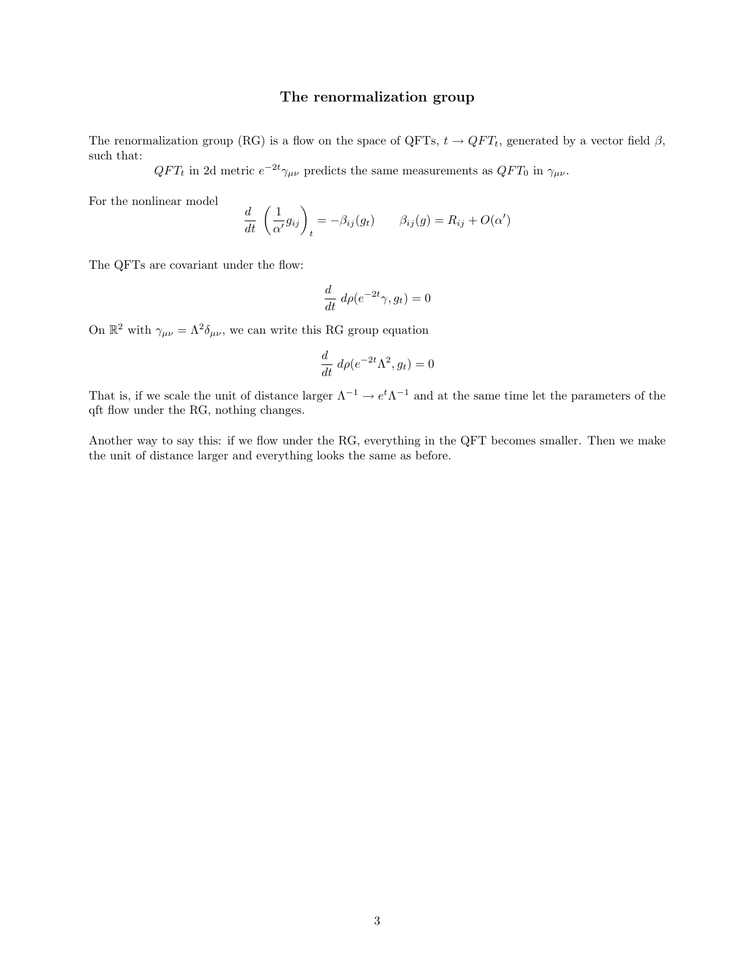### The renormalization group

The renormalization group (RG) is a flow on the space of QFTs,  $t \rightarrow QFT_t$ , generated by a vector field  $\beta$ , such that:

 $QFT_t$  in 2d metric  $e^{-2t}\gamma_{\mu\nu}$  predicts the same measurements as  $QFT_0$  in  $\gamma_{\mu\nu}$ .

For the nonlinear model

$$
\frac{d}{dt}\left(\frac{1}{\alpha'}g_{ij}\right)_t = -\beta_{ij}(g_t) \qquad \beta_{ij}(g) = R_{ij} + O(\alpha')
$$

The QFTs are covariant under the flow:

$$
\frac{d}{dt} \ d\rho(e^{-2t}\gamma, g_t) = 0
$$

On  $\mathbb{R}^2$  with  $\gamma_{\mu\nu} = \Lambda^2 \delta_{\mu\nu}$ , we can write this RG group equation

$$
\frac{d}{dt} d\rho(e^{-2t}\Lambda^2, g_t) = 0
$$

That is, if we scale the unit of distance larger  $\Lambda^{-1} \to e^t \Lambda^{-1}$  and at the same time let the parameters of the qft flow under the RG, nothing changes.

Another way to say this: if we flow under the RG, everything in the QFT becomes smaller. Then we make the unit of distance larger and everything looks the same as before.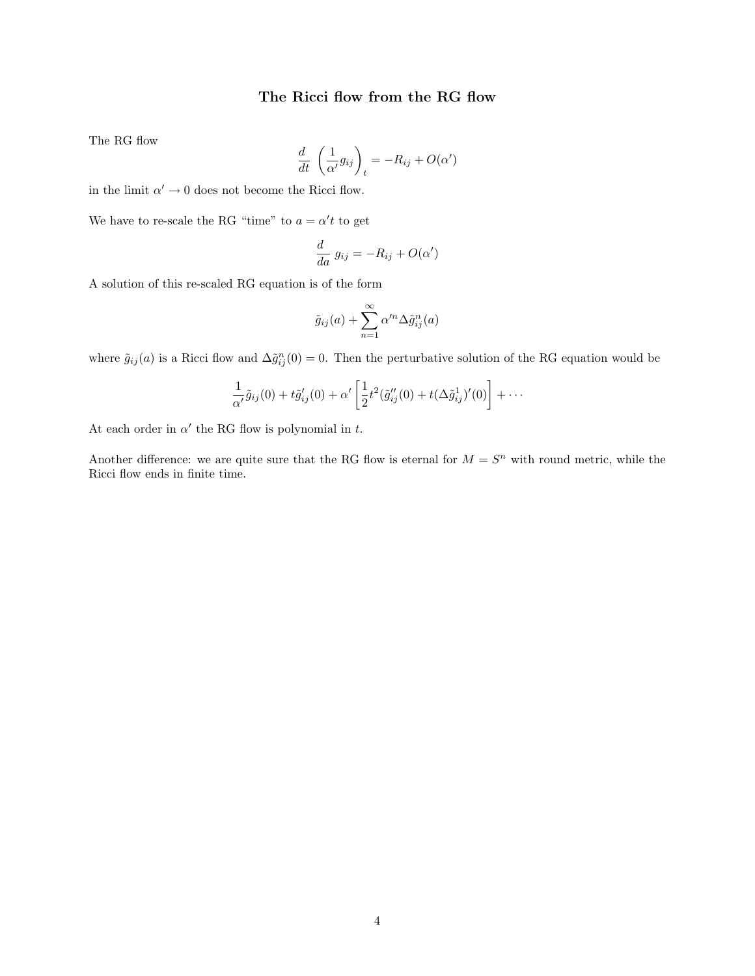## The Ricci flow from the RG flow

The RG flow

$$
\frac{d}{dt}\left(\frac{1}{\alpha'}g_{ij}\right)_t = -R_{ij} + O(\alpha')
$$

in the limit  $\alpha' \to 0$  does not become the Ricci flow.

We have to re-scale the RG "time" to  $a = \alpha' t$  to get

$$
\frac{d}{da} g_{ij} = -R_{ij} + O(\alpha')
$$

A solution of this re-scaled RG equation is of the form

$$
\tilde{g}_{ij}(a) + \sum_{n=1}^{\infty} \alpha'^n \Delta \tilde{g}_{ij}^n(a)
$$

where  $\tilde{g}_{ij}(a)$  is a Ricci flow and  $\Delta \tilde{g}_{ij}^n(0) = 0$ . Then the perturbative solution of the RG equation would be

$$
\frac{1}{\alpha'}\tilde{g}_{ij}(0)+t\tilde{g}'_{ij}(0)+\alpha'\left[\frac{1}{2}t^2(\tilde{g}''_{ij}(0)+t(\Delta \tilde{g}^1_{ij})'(0)\right]+\cdots
$$

At each order in  $\alpha'$  the RG flow is polynomial in t.

Another difference: we are quite sure that the RG flow is eternal for  $M = S<sup>n</sup>$  with round metric, while the Ricci flow ends in finite time.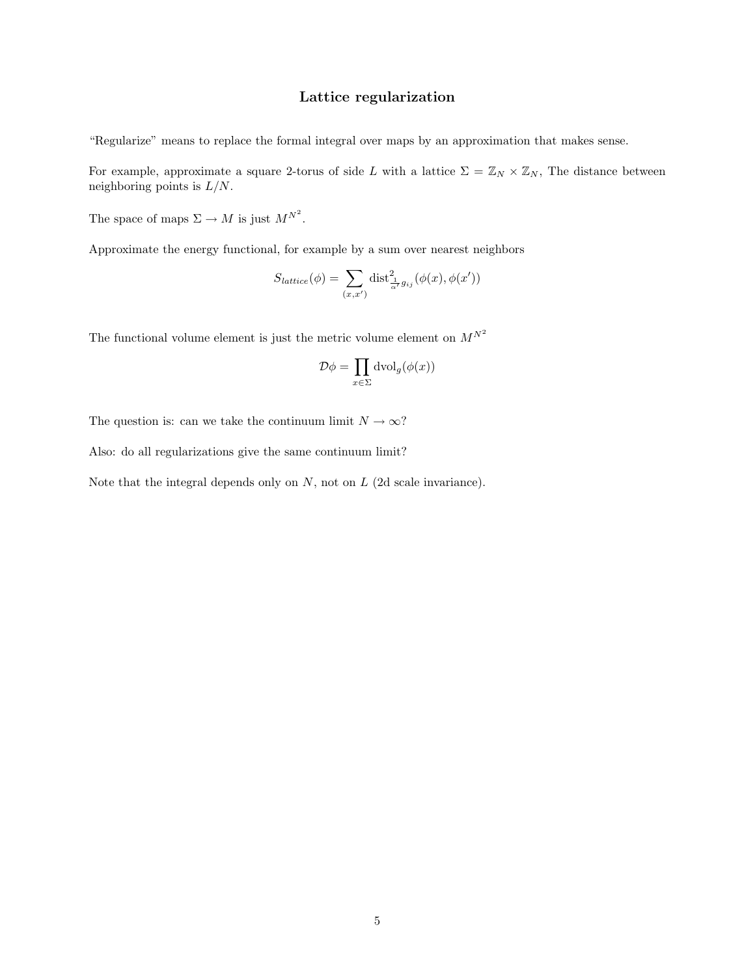### Lattice regularization

"Regularize" means to replace the formal integral over maps by an approximation that makes sense.

For example, approximate a square 2-torus of side L with a lattice  $\Sigma = \mathbb{Z}_N \times \mathbb{Z}_N$ , The distance between neighboring points is  $L/N$ .

The space of maps  $\Sigma \to M$  is just  $M^{N^2}$ .

Approximate the energy functional, for example by a sum over nearest neighbors

$$
S_{lattice}(\phi) = \sum_{(x,x')} \text{dist}^2_{\frac{1}{\alpha'}g_{ij}}(\phi(x), \phi(x'))
$$

The functional volume element is just the metric volume element on  $M^{N^2}$ 

$$
\mathcal{D}\phi = \prod_{x \in \Sigma} \text{dvol}_g(\phi(x))
$$

The question is: can we take the continuum limit  $N \to \infty$ ?

Also: do all regularizations give the same continuum limit?

Note that the integral depends only on  $N$ , not on  $L$  (2d scale invariance).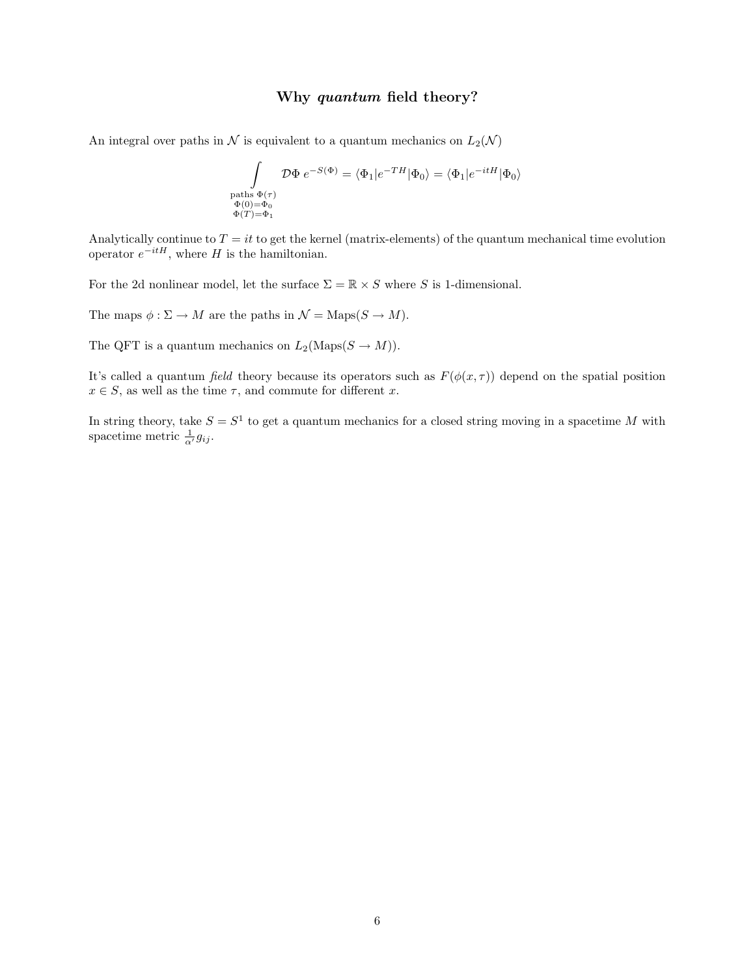#### Why quantum field theory?

An integral over paths in  $N$  is equivalent to a quantum mechanics on  $L_2(\mathcal{N})$ 

$$
\int\limits_{\substack{\text{paths } \Phi(\tau) \\ \Phi(0) = \Phi_0 \\ \Phi(T) = \Phi_1}} \mathcal{D}\Phi \ e^{-S(\Phi)} = \langle \Phi_1 | e^{-TH} | \Phi_0 \rangle = \langle \Phi_1 | e^{-itH} | \Phi_0 \rangle
$$

Analytically continue to  $T = it$  to get the kernel (matrix-elements) of the quantum mechanical time evolution operator  $e^{-itH}$ , where H is the hamiltonian.

For the 2d nonlinear model, let the surface  $\Sigma = \mathbb{R} \times S$  where S is 1-dimensional.

The maps  $\phi : \Sigma \to M$  are the paths in  $\mathcal{N} = \text{Maps}(S \to M)$ .

The QFT is a quantum mechanics on  $L_2(Maps(S \to M)).$ 

It's called a quantum field theory because its operators such as  $F(\phi(x, \tau))$  depend on the spatial position  $x \in S$ , as well as the time  $\tau$ , and commute for different x.

In string theory, take  $S = S<sup>1</sup>$  to get a quantum mechanics for a closed string moving in a spacetime M with spacetime metric  $\frac{1}{\alpha'} g_{ij}$ .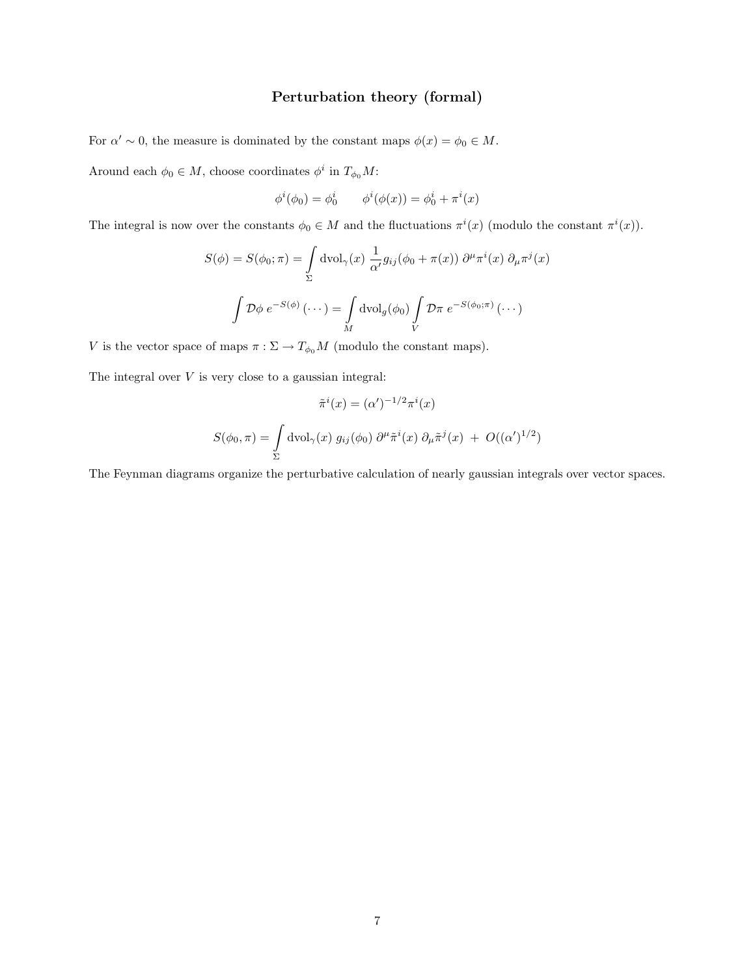# Perturbation theory (formal)

For  $\alpha' \sim 0$ , the measure is dominated by the constant maps  $\phi(x) = \phi_0 \in M$ .

Around each  $\phi_0 \in M$ , choose coordinates  $\phi^i$  in  $T_{\phi_0}M$ :

$$
\phi^i(\phi_0) = \phi^i_0
$$
  $\phi^i(\phi(x)) = \phi^i_0 + \pi^i(x)$ 

The integral is now over the constants  $\phi_0 \in M$  and the fluctuations  $\pi^i(x)$  (modulo the constant  $\pi^i(x)$ ).

$$
S(\phi) = S(\phi_0; \pi) = \int_{\Sigma} \text{dvol}_{\gamma}(x) \frac{1}{\alpha'} g_{ij}(\phi_0 + \pi(x)) \partial^{\mu} \pi^i(x) \partial_{\mu} \pi^j(x)
$$

$$
\int \mathcal{D}\phi \ e^{-S(\phi)} (\cdots) = \int_M \text{dvol}_g(\phi_0) \int_V \mathcal{D}\pi \ e^{-S(\phi_0; \pi)} (\cdots)
$$

V is the vector space of maps  $\pi : \Sigma \to T_{\phi_0}M$  (modulo the constant maps).

The integral over  $V$  is very close to a gaussian integral:

$$
\tilde{\pi}^i(x) = (\alpha')^{-1/2} \pi^i(x)
$$

$$
S(\phi_0, \pi) = \int_{\Sigma} \text{dvol}_{\gamma}(x) g_{ij}(\phi_0) \partial^{\mu} \tilde{\pi}^i(x) \partial_{\mu} \tilde{\pi}^j(x) + O((\alpha')^{1/2})
$$

The Feynman diagrams organize the perturbative calculation of nearly gaussian integrals over vector spaces.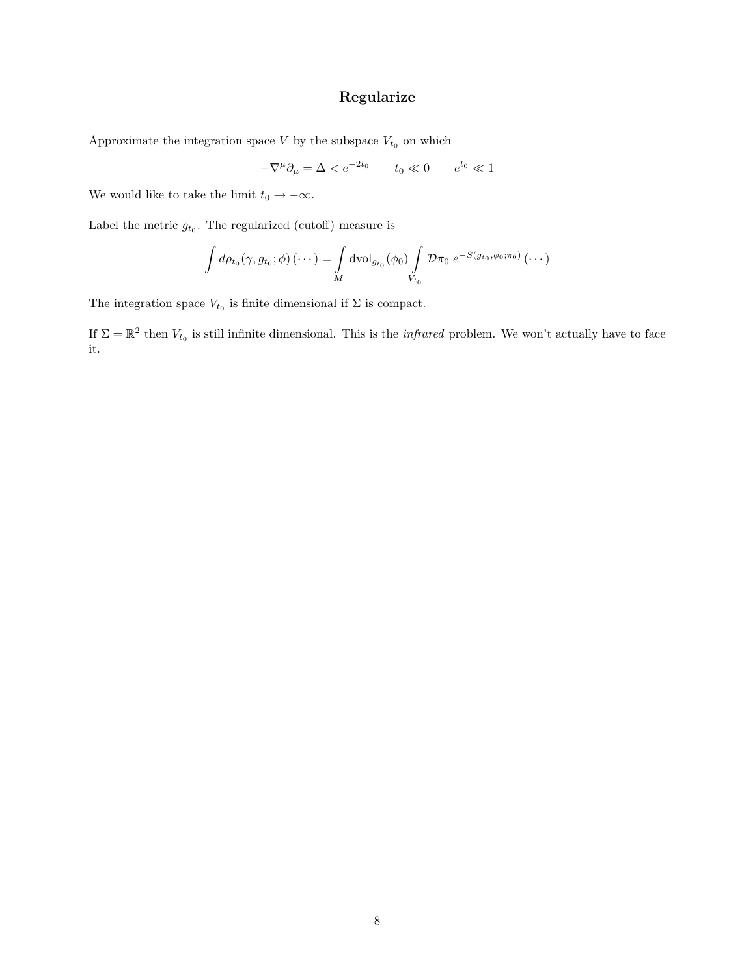# Regularize

Approximate the integration space  ${\cal V}$  by the subspace  $V_{t_0}$  on which

$$
-\nabla^{\mu}\partial_{\mu} = \Delta < e^{-2t_0} \qquad t_0 \ll 0 \qquad e^{t_0} \ll 1
$$

We would like to take the limit  $t_0 \to -\infty$ .

Label the metric  $g_{t_0}$ . The regularized (cutoff) measure is

$$
\int d\rho_{t_0}(\gamma, g_{t_0}; \phi) (\cdots) = \int_M \mathrm{dvol}_{g_{t_0}}(\phi_0) \int_{V_{t_0}} \mathcal{D}\pi_0 e^{-S(g_{t_0}, \phi_0; \pi_0)} (\cdots)
$$

The integration space  $V_{t_0}$  is finite dimensional if  $\Sigma$  is compact.

If  $\Sigma = \mathbb{R}^2$  then  $V_{t_0}$  is still infinite dimensional. This is the *infrared* problem. We won't actually have to face it.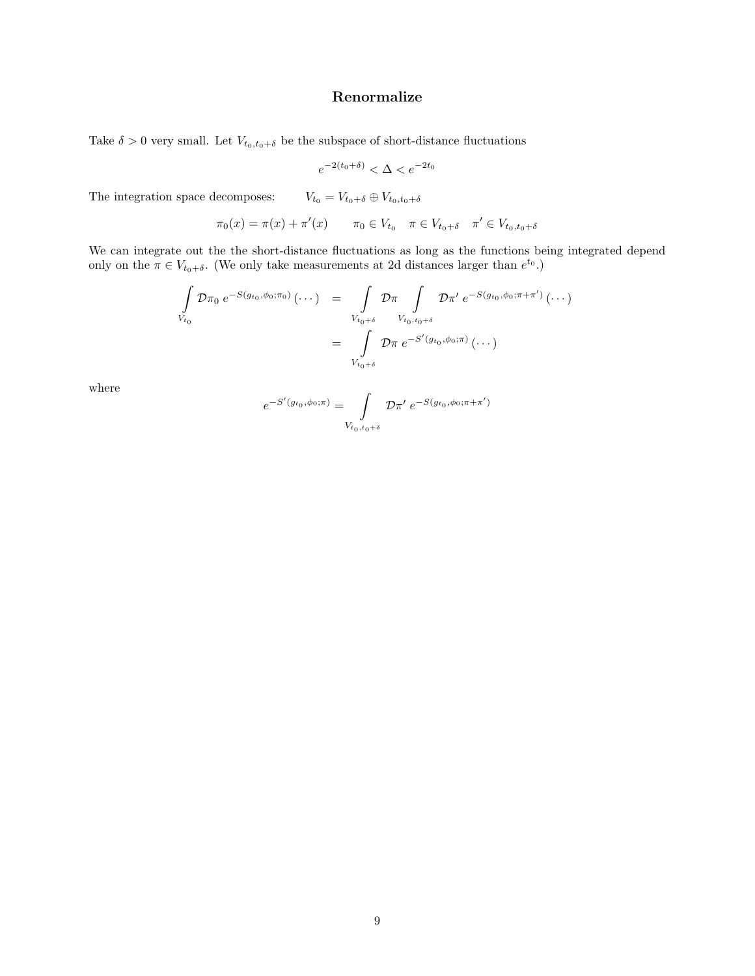# Renormalize

Take  $\delta > 0$  very small. Let  $V_{t_0,t_0+\delta}$  be the subspace of short-distance fluctuations

$$
e^{-2(t_0 + \delta)} < \Delta < e^{-2t_0}
$$

The integration space decomposes:  $V_{t_0} = V_{t_0+\delta} \oplus V_{t_0,t_0+\delta}$ 

$$
\pi_0(x) = \pi(x) + \pi'(x) \qquad \pi_0 \in V_{t_0} \quad \pi \in V_{t_0 + \delta} \quad \pi' \in V_{t_0, t_0 + \delta}
$$

We can integrate out the the short-distance fluctuations as long as the functions being integrated depend only on the  $\pi \in V_{t_0+\delta}$ . (We only take measurements at 2d distances larger than  $e^{t_0}$ .)

$$
\int_{V_{t_0}} \mathcal{D}\pi_0 \ e^{-S(g_{t_0}, \phi_0; \pi_0)} (\cdots) = \int_{V_{t_0+\delta}} \mathcal{D}\pi \int_{V_{t_0, t_0+\delta}} \mathcal{D}\pi' \ e^{-S(g_{t_0}, \phi_0; \pi + \pi')} (\cdots)
$$
\n
$$
= \int_{V_{t_0+\delta}} \mathcal{D}\pi \ e^{-S'(g_{t_0}, \phi_0; \pi)} (\cdots)
$$

where

$$
e^{-S'(g_{t_0}, \phi_0; \pi)} = \int\limits_{V_{t_0, t_0 + \delta}} D\pi' e^{-S(g_{t_0}, \phi_0; \pi + \pi')}
$$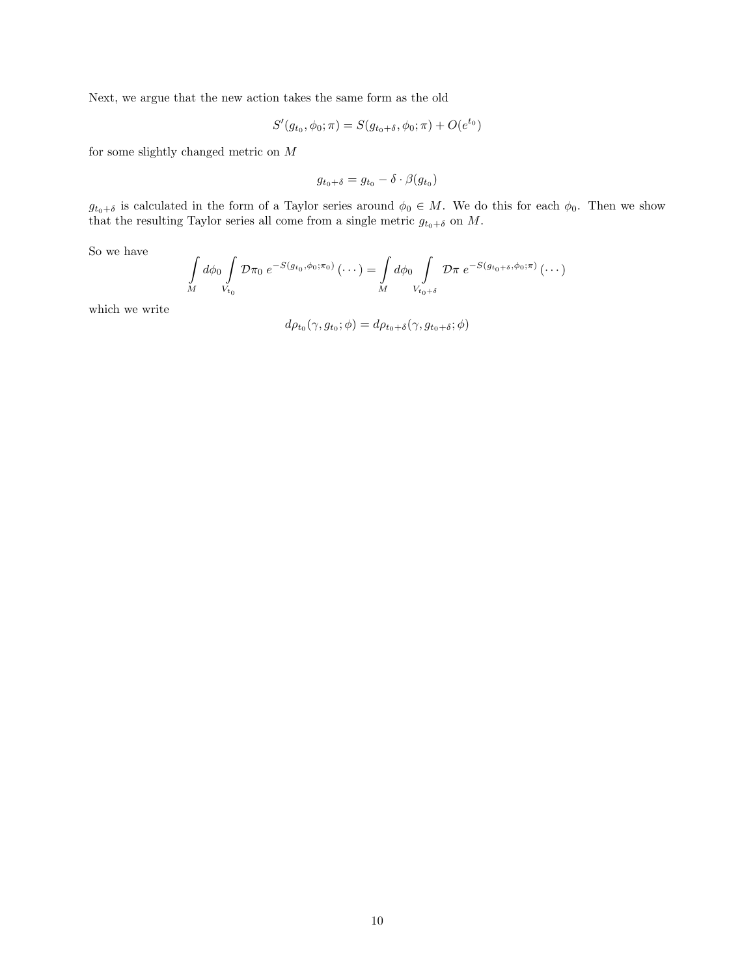Next, we argue that the new action takes the same form as the old

$$
S'(g_{t_0}, \phi_0; \pi) = S(g_{t_0+\delta}, \phi_0; \pi) + O(e^{t_0})
$$

for some slightly changed metric on  $\cal M$ 

$$
g_{t_0+\delta}=g_{t_0}-\delta\cdot\beta(g_{t_0})
$$

 $g_{t_0+\delta}$  is calculated in the form of a Taylor series around  $\phi_0 \in M$ . We do this for each  $\phi_0$ . Then we show that the resulting Taylor series all come from a single metric  $g_{t_0+\delta}$  on  $M$ .

So we have

$$
\int_{M} d\phi_0 \int_{V_{t_0}} \mathcal{D}\pi_0 e^{-S(g_{t_0}, \phi_0; \pi_0)} (\cdots) = \int_{M} d\phi_0 \int_{V_{t_0+\delta}} \mathcal{D}\pi e^{-S(g_{t_0+\delta}, \phi_0; \pi)} (\cdots)
$$

which we write

$$
d\rho_{t_0}(\gamma, g_{t_0}; \phi) = d\rho_{t_0 + \delta}(\gamma, g_{t_0 + \delta}; \phi)
$$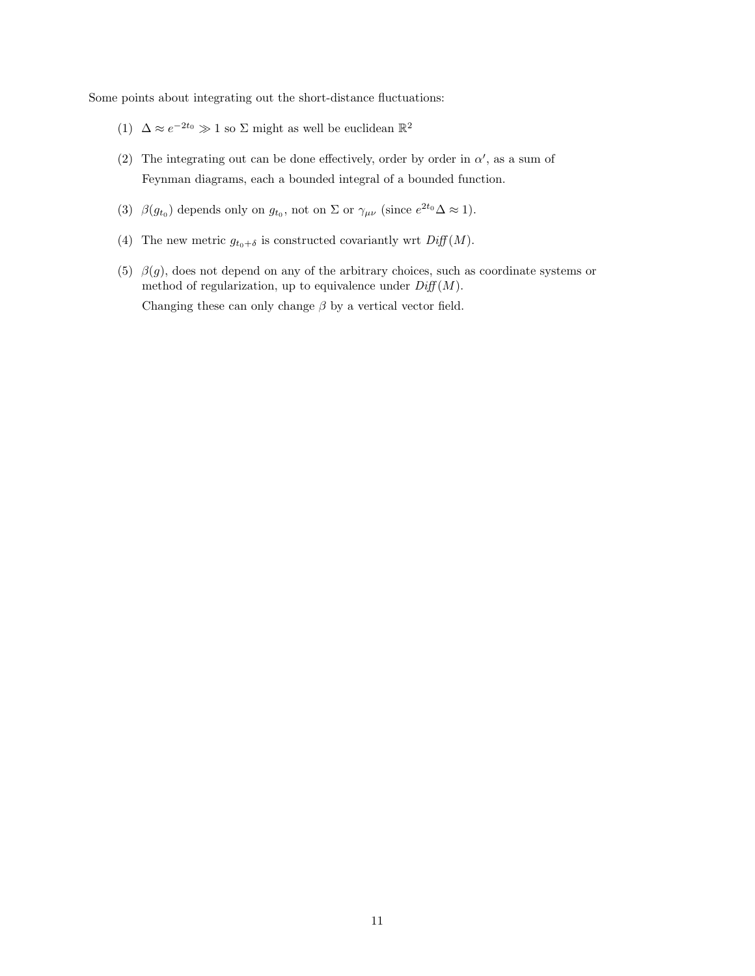Some points about integrating out the short-distance fluctuations:

- (1)  $\Delta \approx e^{-2t_0} \gg 1$  so  $\Sigma$  might as well be euclidean  $\mathbb{R}^2$
- (2) The integrating out can be done effectively, order by order in  $\alpha'$ , as a sum of Feynman diagrams, each a bounded integral of a bounded function.
- (3)  $\beta(g_{t_0})$  depends only on  $g_{t_0}$ , not on  $\Sigma$  or  $\gamma_{\mu\nu}$  (since  $e^{2t_0}\Delta \approx 1$ ).
- (4) The new metric  $g_{t_0+\delta}$  is constructed covariantly wrt  $Diff(M)$ .
- (5)  $\beta(g)$ , does not depend on any of the arbitrary choices, such as coordinate systems or method of regularization, up to equivalence under  $Diff(M)$ . Changing these can only change  $\beta$  by a vertical vector field.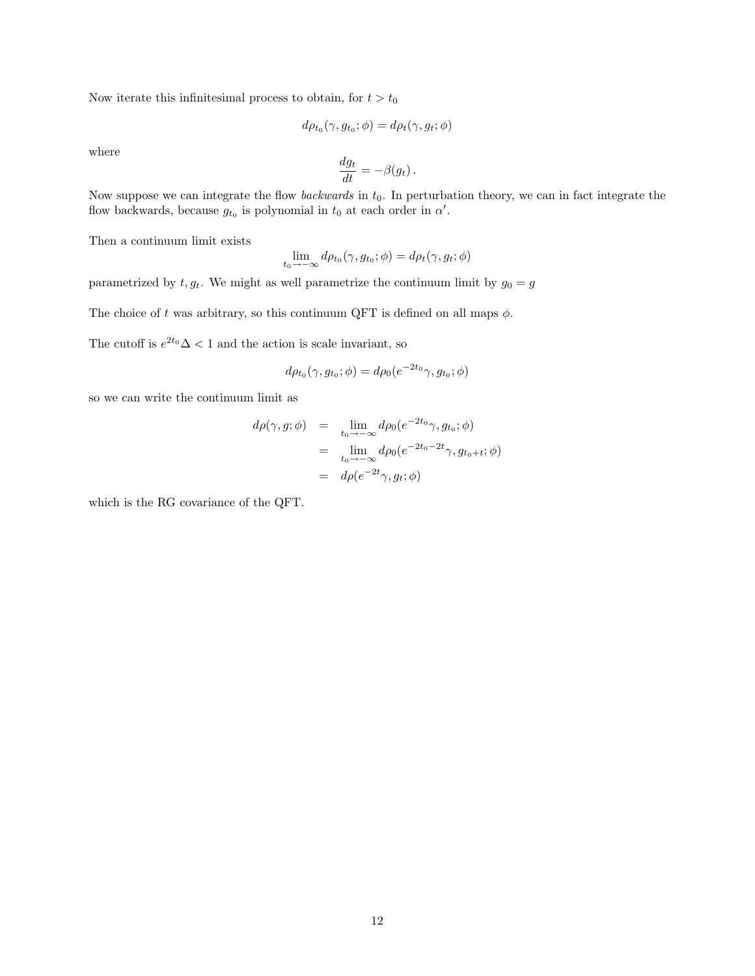Now iterate this infinitesimal process to obtain, for  $t > t_0$ 

$$
d\rho_{t_0}(\gamma, g_{t_0}; \phi) = d\rho_t(\gamma, g_t; \phi)
$$

where

$$
\frac{dg_t}{dt} = -\beta(g_t) \, .
$$

Now suppose we can integrate the flow *backwards* in  $t_0$ . In perturbation theory, we can in fact integrate the flow backwards, because  $g_{t_0}$  is polynomial in  $t_0$  at each order in  $\alpha'$ .

Then a continuum limit exists

$$
\lim_{t_0 \to -\infty} d\rho_{t_0}(\gamma, g_{t_0}; \phi) = d\rho_t(\gamma, g_t; \phi)
$$

parametrized by  $t, g_t$ . We might as well parametrize the continuum limit by  $g_0 = g$ 

The choice of t was arbitrary, so this continuum QFT is defined on all maps  $\phi$ .

The cutoff is  $e^{2t_0}\Delta < 1$  and the action is scale invariant, so

$$
d\rho_{t_0}(\gamma, g_{t_0}; \phi) = d\rho_0(e^{-2t_0}\gamma, g_{t_0}; \phi)
$$

so we can write the continuum limit as

$$
d\rho(\gamma, g; \phi) = \lim_{t_0 \to -\infty} d\rho_0(e^{-2t_0}\gamma, g_{t_0}; \phi)
$$
  
= 
$$
\lim_{t_0 \to -\infty} d\rho_0(e^{-2t_0 - 2t}\gamma, g_{t_0 + t}; \phi)
$$
  
= 
$$
d\rho(e^{-2t}\gamma, g_t; \phi)
$$

which is the RG covariance of the QFT.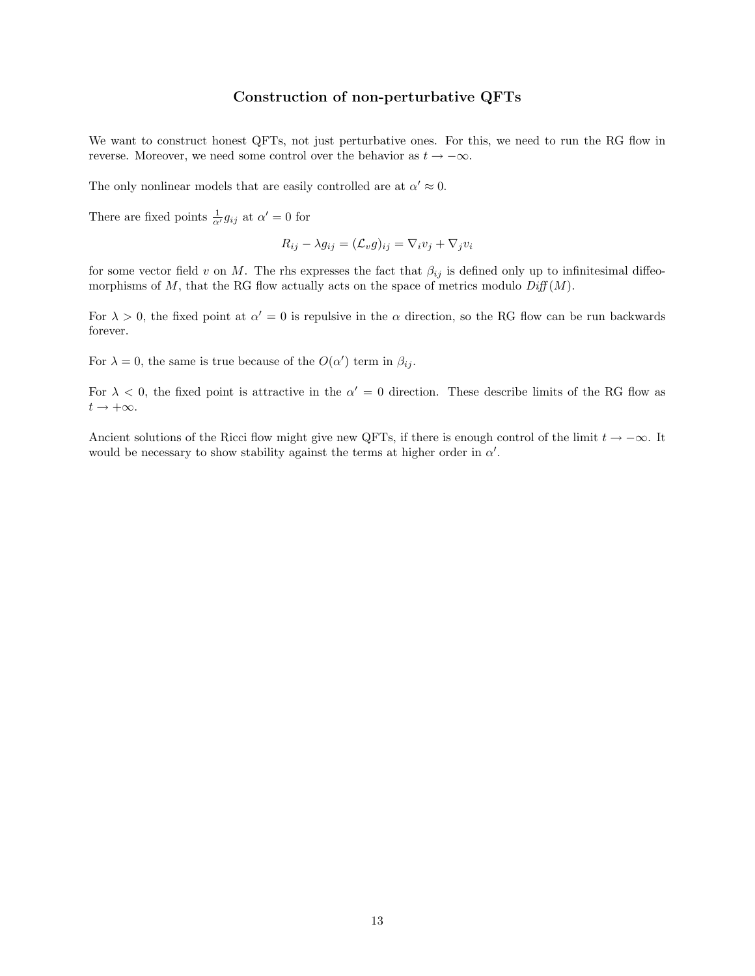# Construction of non-perturbative QFTs

We want to construct honest QFTs, not just perturbative ones. For this, we need to run the RG flow in reverse. Moreover, we need some control over the behavior as  $t \to -\infty$ .

The only nonlinear models that are easily controlled are at  $\alpha' \approx 0$ .

There are fixed points  $\frac{1}{\alpha'} g_{ij}$  at  $\alpha' = 0$  for

$$
R_{ij} - \lambda g_{ij} = (\mathcal{L}_v g)_{ij} = \nabla_i v_j + \nabla_j v_i
$$

for some vector field v on M. The rhs expresses the fact that  $\beta_{ij}$  is defined only up to infinitesimal diffeomorphisms of M, that the RG flow actually acts on the space of metrics modulo  $Diff(M)$ .

For  $\lambda > 0$ , the fixed point at  $\alpha' = 0$  is repulsive in the  $\alpha$  direction, so the RG flow can be run backwards forever.

For  $\lambda = 0$ , the same is true because of the  $O(\alpha')$  term in  $\beta_{ij}$ .

For  $\lambda < 0$ , the fixed point is attractive in the  $\alpha' = 0$  direction. These describe limits of the RG flow as  $t\rightarrow +\infty.$ 

Ancient solutions of the Ricci flow might give new QFTs, if there is enough control of the limit  $t \to -\infty$ . It would be necessary to show stability against the terms at higher order in  $\alpha'$ .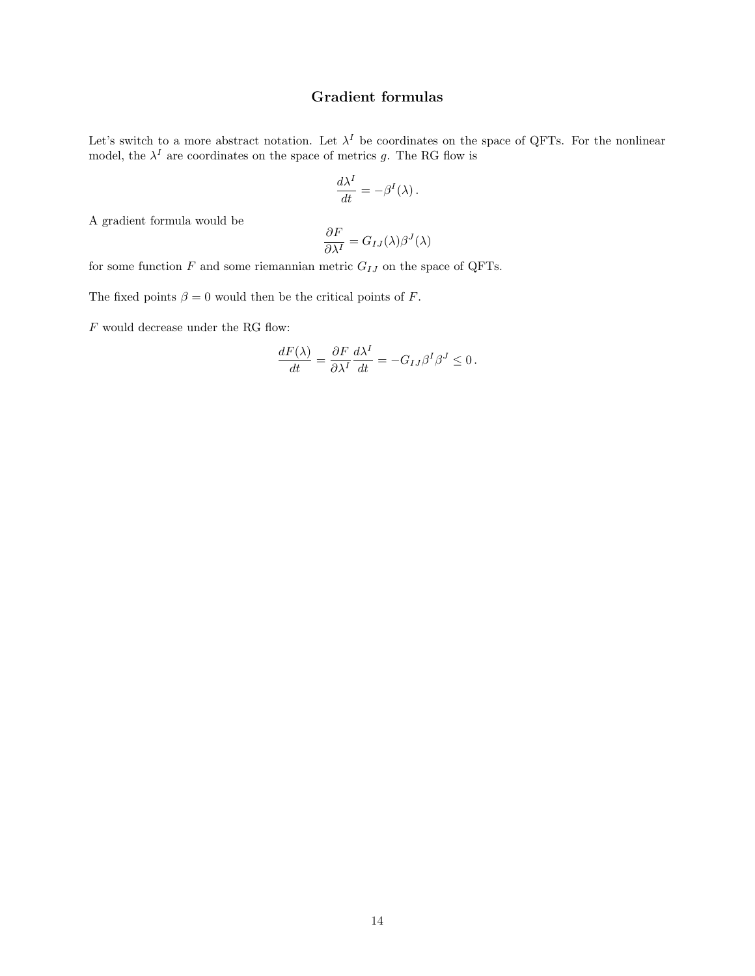# Gradient formulas

Let's switch to a more abstract notation. Let  $\lambda^I$  be coordinates on the space of QFTs. For the nonlinear model, the  $\lambda^I$  are coordinates on the space of metrics g. The RG flow is

$$
\frac{d\lambda^I}{dt} = -\beta^I(\lambda)\,.
$$

A gradient formula would be

$$
\frac{\partial F}{\partial \lambda^I} = G_{IJ}(\lambda)\beta^J(\lambda)
$$

for some function  $F$  and some riemannian metric  ${\cal G}_{IJ}$  on the space of QFTs.

The fixed points  $\beta = 0$  would then be the critical points of F.

 ${\cal F}$  would decrease under the RG flow:

$$
\frac{dF(\lambda)}{dt} = \frac{\partial F}{\partial \lambda^I} \frac{d\lambda^I}{dt} = -G_{IJ}\beta^I \beta^J \le 0.
$$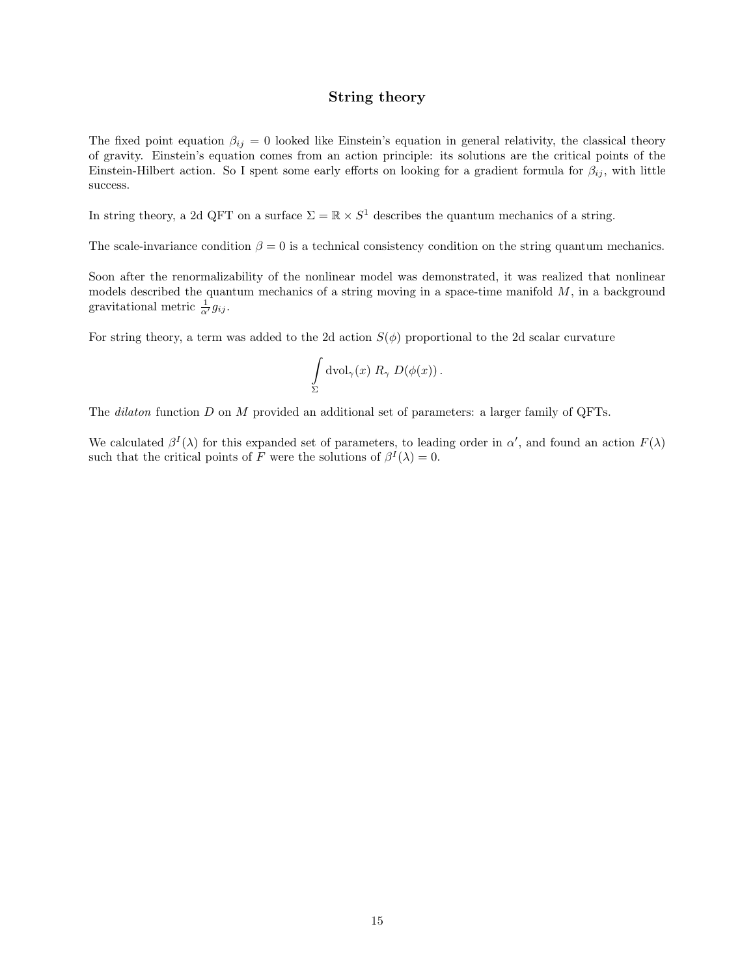#### String theory

The fixed point equation  $\beta_{ij} = 0$  looked like Einstein's equation in general relativity, the classical theory of gravity. Einstein's equation comes from an action principle: its solutions are the critical points of the Einstein-Hilbert action. So I spent some early efforts on looking for a gradient formula for  $\beta_{ij}$ , with little success.

In string theory, a 2d QFT on a surface  $\Sigma = \mathbb{R} \times S^1$  describes the quantum mechanics of a string.

The scale-invariance condition  $\beta = 0$  is a technical consistency condition on the string quantum mechanics.

Soon after the renormalizability of the nonlinear model was demonstrated, it was realized that nonlinear models described the quantum mechanics of a string moving in a space-time manifold  $M$ , in a background gravitational metric  $\frac{1}{\alpha'} g_{ij}$ .

For string theory, a term was added to the 2d action  $S(\phi)$  proportional to the 2d scalar curvature

$$
\int_{\Sigma} \mathrm{dvol}_\gamma(x) \; R_\gamma \; D(\phi(x)) \, .
$$

The *dilaton* function D on M provided an additional set of parameters: a larger family of QFTs.

We calculated  $\beta^I(\lambda)$  for this expanded set of parameters, to leading order in  $\alpha'$ , and found an action  $F(\lambda)$ such that the critical points of F were the solutions of  $\beta^I(\lambda) = 0$ .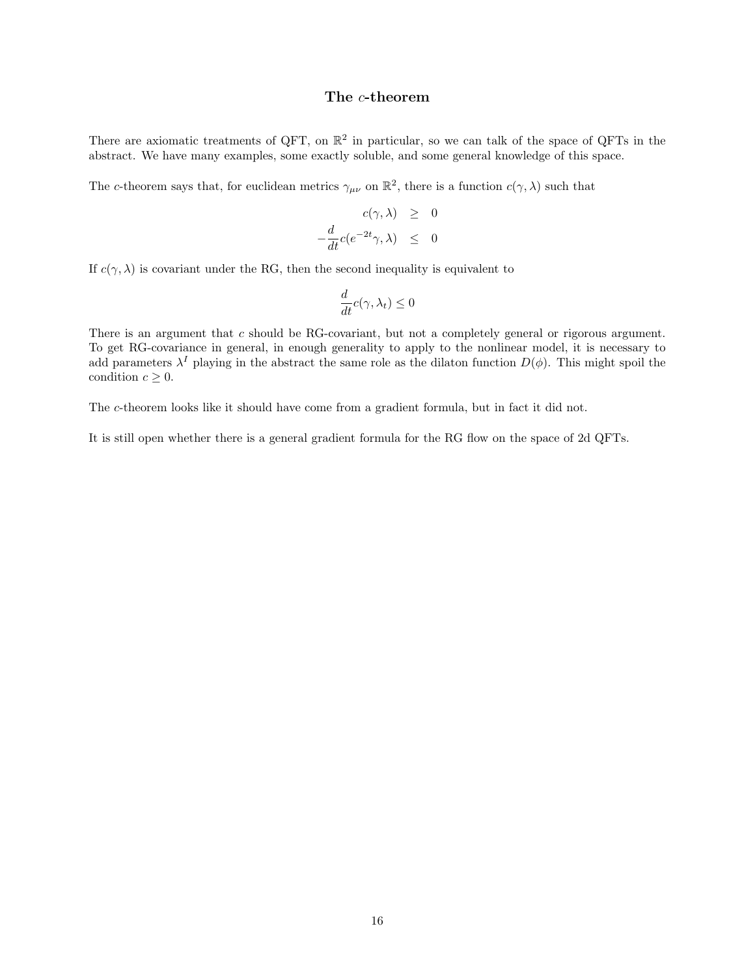#### The c-theorem

There are axiomatic treatments of QFT, on  $\mathbb{R}^2$  in particular, so we can talk of the space of QFTs in the abstract. We have many examples, some exactly soluble, and some general knowledge of this space.

The c-theorem says that, for euclidean metrics  $\gamma_{\mu\nu}$  on  $\mathbb{R}^2$ , there is a function  $c(\gamma, \lambda)$  such that

$$
c(\gamma, \lambda) \geq 0
$$
  

$$
-\frac{d}{dt}c(e^{-2t}\gamma, \lambda) \leq 0
$$

If  $c(\gamma, \lambda)$  is covariant under the RG, then the second inequality is equivalent to

$$
\frac{d}{dt}c(\gamma,\lambda_t)\leq 0
$$

There is an argument that c should be RG-covariant, but not a completely general or rigorous argument. To get RG-covariance in general, in enough generality to apply to the nonlinear model, it is necessary to add parameters  $\lambda^I$  playing in the abstract the same role as the dilaton function  $D(\phi)$ . This might spoil the condition  $c \geq 0$ .

The c-theorem looks like it should have come from a gradient formula, but in fact it did not.

It is still open whether there is a general gradient formula for the RG flow on the space of 2d QFTs.